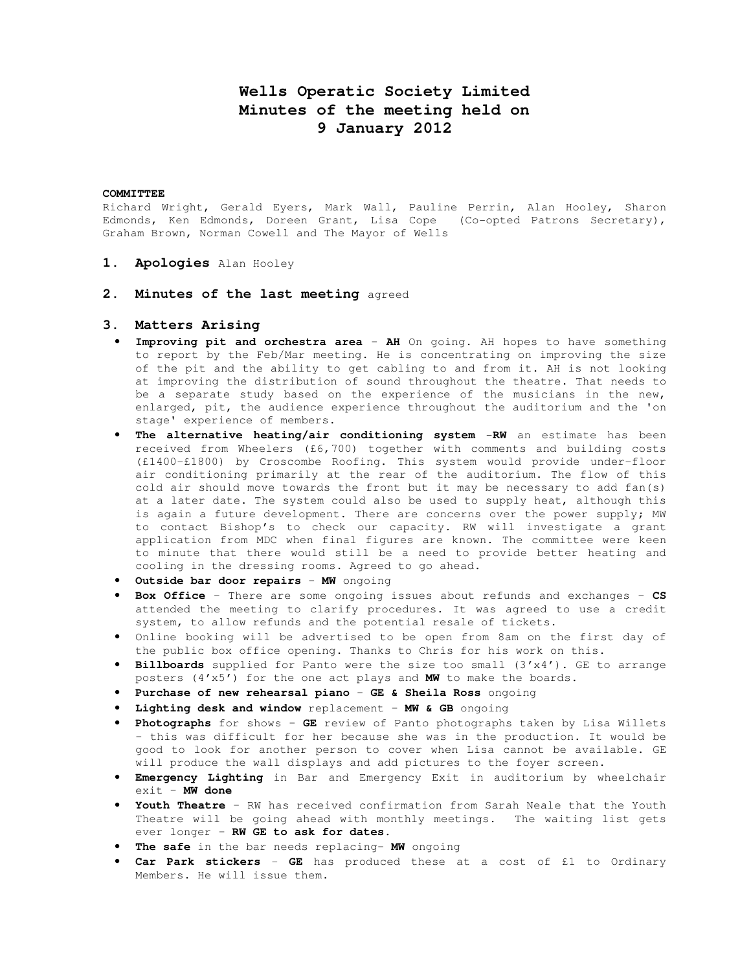# **Wells Operatic Society Limited Minutes of the meeting held on 9 January 2012**

#### **COMMITTEE**

Richard Wright, Gerald Eyers, Mark Wall, Pauline Perrin, Alan Hooley, Sharon Edmonds, Ken Edmonds, Doreen Grant, Lisa Cope (Co-opted Patrons Secretary), Graham Brown, Norman Cowell and The Mayor of Wells

- **1. Apologies** Alan Hooley
- **2. Minutes of the last meeting** agreed

### **3. Matters Arising**

- **Improving pit and orchestra area AH** On going. AH hopes to have something to report by the Feb/Mar meeting. He is concentrating on improving the size of the pit and the ability to get cabling to and from it. AH is not looking at improving the distribution of sound throughout the theatre. That needs to be a separate study based on the experience of the musicians in the new, enlarged, pit, the audience experience throughout the auditorium and the 'on stage' experience of members.
- **The alternative heating/air conditioning system** -**RW** an estimate has been received from Wheelers (£6,700) together with comments and building costs (£1400-£1800) by Croscombe Roofing. This system would provide under-floor air conditioning primarily at the rear of the auditorium. The flow of this cold air should move towards the front but it may be necessary to add fan(s) at a later date. The system could also be used to supply heat, although this is again a future development. There are concerns over the power supply; MW to contact Bishop's to check our capacity. RW will investigate a grant application from MDC when final figures are known. The committee were keen to minute that there would still be a need to provide better heating and cooling in the dressing rooms. Agreed to go ahead.
- **Outside bar door repairs MW** ongoing
- **Box Office** There are some ongoing issues about refunds and exchanges **CS** attended the meeting to clarify procedures. It was agreed to use a credit system, to allow refunds and the potential resale of tickets.
- Online booking will be advertised to be open from 8am on the first day of the public box office opening. Thanks to Chris for his work on this.
- **Billboards** supplied for Panto were the size too small (3'x4'). GE to arrange posters (4'x5') for the one act plays and **MW** to make the boards.
- **Purchase of new rehearsal piano GE & Sheila Ross** ongoing
- **Lighting desk and window** replacement **MW & GB** ongoing
- **Photographs** for shows **GE** review of Panto photographs taken by Lisa Willets – this was difficult for her because she was in the production. It would be good to look for another person to cover when Lisa cannot be available. GE will produce the wall displays and add pictures to the foyer screen.
- **Emergency Lighting** in Bar and Emergency Exit in auditorium by wheelchair exit – **MW done**
- **Youth Theatre** RW has received confirmation from Sarah Neale that the Youth Theatre will be going ahead with monthly meetings. The waiting list gets ever longer – **RW GE to ask for dates.**
- **The safe** in the bar needs replacing– **MW** ongoing
- **Car Park stickers GE** has produced these at a cost of £1 to Ordinary Members. He will issue them.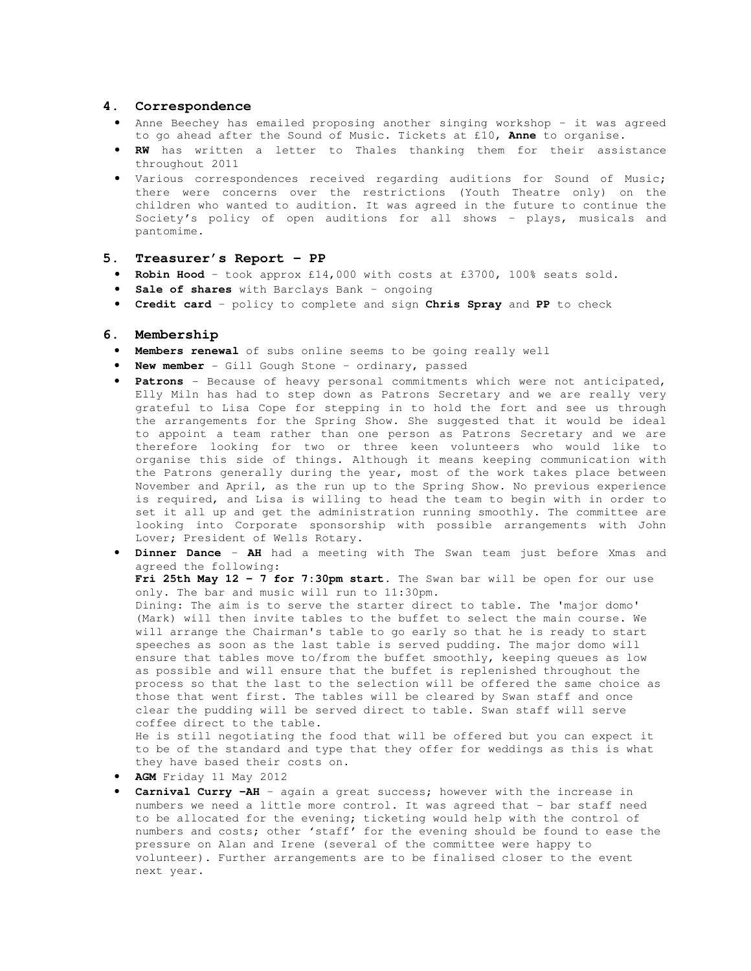#### **4. Correspondence**

- Anne Beechey has emailed proposing another singing workshop it was agreed to go ahead after the Sound of Music. Tickets at £10, **Anne** to organise.
- **RW** has written a letter to Thales thanking them for their assistance throughout 2011
- Various correspondences received regarding auditions for Sound of Music; there were concerns over the restrictions (Youth Theatre only) on the children who wanted to audition. It was agreed in the future to continue the Society's policy of open auditions for all shows – plays, musicals and pantomime.

#### **5. Treasurer's Report – PP**

- **Robin Hood** took approx £14,000 with costs at £3700, 100% seats sold.
- **Sale of shares** with Barclays Bank ongoing
- **Credit card** policy to complete and sign **Chris Spray** and **PP** to check

#### **6. Membership**

- **Members renewal** of subs online seems to be going really well
- **New member** Gill Gough Stone ordinary, passed
- **Patrons** Because of heavy personal commitments which were not anticipated, Elly Miln has had to step down as Patrons Secretary and we are really very grateful to Lisa Cope for stepping in to hold the fort and see us through the arrangements for the Spring Show. She suggested that it would be ideal to appoint a team rather than one person as Patrons Secretary and we are therefore looking for two or three keen volunteers who would like to organise this side of things. Although it means keeping communication with the Patrons generally during the year, most of the work takes place between November and April, as the run up to the Spring Show. No previous experience is required, and Lisa is willing to head the team to begin with in order to set it all up and get the administration running smoothly. The committee are looking into Corporate sponsorship with possible arrangements with John Lover; President of Wells Rotary.
- **Dinner Dance AH** had a meeting with The Swan team just before Xmas and agreed the following:

 **Fri 25th May 12 - 7 for 7:30pm start**. The Swan bar will be open for our use only. The bar and music will run to 11:30pm.

 Dining: The aim is to serve the starter direct to table. The 'major domo' (Mark) will then invite tables to the buffet to select the main course. We will arrange the Chairman's table to go early so that he is ready to start speeches as soon as the last table is served pudding. The major domo will ensure that tables move to/from the buffet smoothly, keeping queues as low as possible and will ensure that the buffet is replenished throughout the process so that the last to the selection will be offered the same choice as those that went first. The tables will be cleared by Swan staff and once clear the pudding will be served direct to table. Swan staff will serve coffee direct to the table.

 He is still negotiating the food that will be offered but you can expect it to be of the standard and type that they offer for weddings as this is what they have based their costs on.

- **AGM** Friday 11 May 2012
- **Carnival Curry –AH** again a great success; however with the increase in numbers we need a little more control. It was agreed that - bar staff need to be allocated for the evening; ticketing would help with the control of numbers and costs; other 'staff' for the evening should be found to ease the pressure on Alan and Irene (several of the committee were happy to volunteer). Further arrangements are to be finalised closer to the event next year.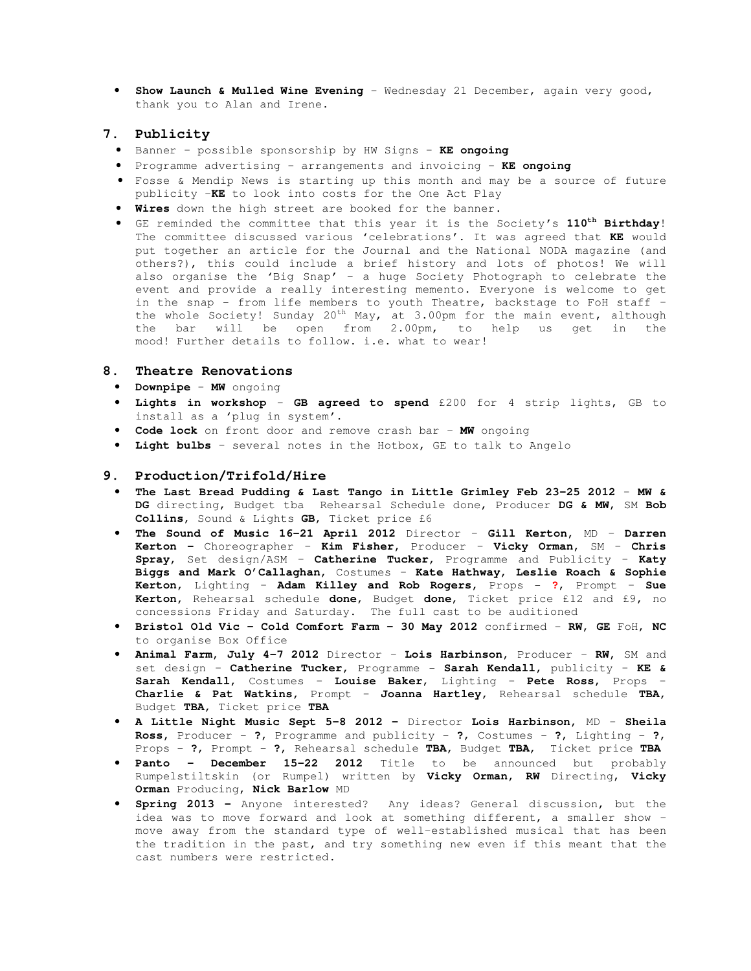• **Show Launch & Mulled Wine Evening** – Wednesday 21 December, again very good, thank you to Alan and Irene.

#### **7. Publicity**

- Banner possible sponsorship by HW Signs **KE ongoing**
- Programme advertising arrangements and invoicing **KE ongoing**
- Fosse & Mendip News is starting up this month and may be a source of future publicity –**KE** to look into costs for the One Act Play
- **Wires** down the high street are booked for the banner.
- GE reminded the committee that this year it is the Society's **110th Birthday**! The committee discussed various 'celebrations'. It was agreed that **KE** would put together an article for the Journal and the National NODA magazine (and others?), this could include a brief history and lots of photos! We will also organise the 'Big Snap' - a huge Society Photograph to celebrate the event and provide a really interesting memento. Everyone is welcome to get in the snap - from life members to youth Theatre, backstage to FoH staff – the whole Society! Sunday 20<sup>th</sup> May, at 3.00pm for the main event, although the bar will be open from 2.00pm, to help us get in the mood! Further details to follow. i.e. what to wear!

#### **8. Theatre Renovations**

- **Downpipe MW** ongoing
- **Lights in workshop GB agreed to spend** £200 for 4 strip lights, GB to install as a 'plug in system'.
- **Code lock** on front door and remove crash bar **MW** ongoing
- **Light bulbs** several notes in the Hotbox, GE to talk to Angelo

#### **9. Production/Trifold/Hire**

- **The Last Bread Pudding & Last Tango in Little Grimley Feb 23-25 2012** – **MW & DG** directing, Budget tba Rehearsal Schedule done, Producer **DG & MW**, SM **Bob Collins**, Sound & Lights **GB**, Ticket price £6
- **The Sound of Music 16-21 April 2012** Director **Gill Kerton,** MD **Darren Kerton –** Choreographer – **Kim Fisher,** Producer – **Vicky Orman,** SM – **Chris Spray,** Set design/ASM – **Catherine Tucker,** Programme and Publicity – **Katy Biggs and Mark O'Callaghan,** Costumes – **Kate Hathway, Leslie Roach & Sophie Kerton,** Lighting – **Adam Killey and Rob Rogers,** Props - **?**, Prompt – **Sue Kerton,** Rehearsal schedule **done**, Budget **done**, Ticket price £12 and £9, no concessions Friday and Saturday. The full cast to be auditioned
- **Bristol Old Vic Cold Comfort Farm 30 May 2012** confirmed **RW, GE** FoH, **NC**  to organise Box Office
- **Animal Farm, July 4-7 2012** Director **Lois Harbinson,** Producer **RW,** SM and set design – **Catherine Tucker,** Programme - **Sarah Kendall,** publicity – **KE & Sarah Kendall,** Costumes – **Louise Baker**, Lighting – **Pete Ross,** Props – **Charlie & Pat Watkins,** Prompt – **Joanna Hartley,** Rehearsal schedule **TBA,**  Budget **TBA,** Ticket price **TBA**
- **A Little Night Music Sept 5-8 2012** Director **Lois Harbinson,** MD **Sheila Ross,** Producer - **?**, Programme and publicity - **?**, Costumes - **?**, Lighting - **?**, Props - **?**, Prompt - **?**, Rehearsal schedule **TBA,** Budget **TBA,** Ticket price **TBA**
- **Panto December 15-22 2012** Title to be announced but probably Rumpelstiltskin (or Rumpel) written by **Vicky Orman, RW** Directing, **Vicky Orman** Producing, **Nick Barlow** MD
- **Spring 2013** Anyone interested? Any ideas? General discussion, but the idea was to move forward and look at something different, a smaller show – move away from the standard type of well-established musical that has been the tradition in the past, and try something new even if this meant that the cast numbers were restricted.